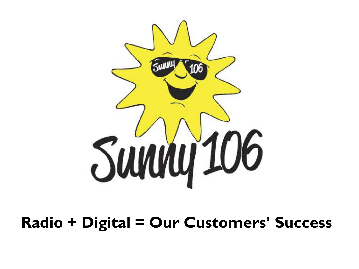

#### **Radio + Digital = Our Customers' Success**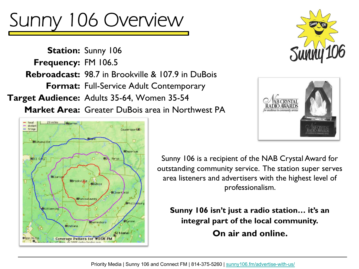### Sunny 106 Overview

**Station: Sunny 106 Frequency: FM 106.5 Rebroadcast:** 98.7 in Brookville & 107.9 in DuBois Format: Full-Service Adult Contemporary Target Audience: Adults 35-64, Women 35-54

**Market Area:** Greater DuBois area in Northwest PA







Sunny 106 is a recipient of the NAB Crystal Award for outstanding community service. The station super serves area listeners and advertisers with the highest level of professionalism.

**Sunny 106 isn't just a radio station… it's an integral part of the local community. On air and online.**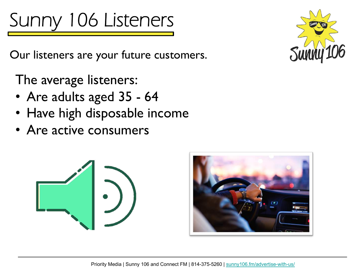## Sunny 106 Listeners

Our listeners are your future customers.

The average listeners:

- Are adults aged 35 64
- Have high disposable income
- Are active consumers



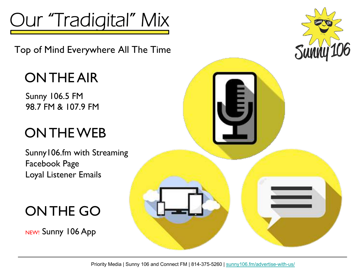

Top of Mind Everywhere All The Time

#### ON THE AIR

Sunny 106.5 FM 98.7 FM & 107.9 FM

#### ON THE WEB

Sunny106.fm with Streaming Facebook Page Loyal Listener Emails

ON THE GO

NEW! Sunny 106 App

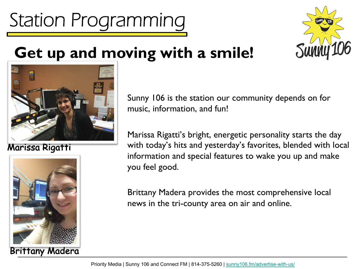**Get up and moving with a smile!** 

Station Programming

Sunny 106 is the station our community depends on for music, information, and fun!

Marissa Rigatti's bright, energetic personality starts the day with today's hits and yesterday's favorites, blended with local information and special features to wake you up and make you feel good.

Brittany Madera provides the most comprehensive local news in the tri-county area on air and online.





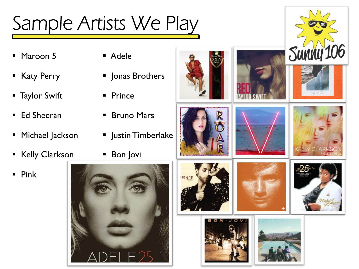#### Sample Artists We Play

- § Maroon 5
- § Katy Perry
- § Taylor Swift
- Ed Sheeran
- Michael Jackson
- § Kelly Clarkson
- § Pink
- § Adele
- § Jonas Brothers
- Prince
- Bruno Mars
- Justin Timberlake
- Bon Jovi



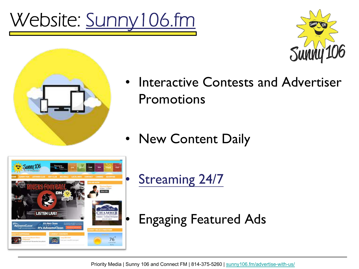## Website: [Sunny106.fm](http://sunny106.fm/)





- Interactive Contests and Advertiser **Promotions**
- New Content Daily



[Streaming 24/7](https://streamdb9web.securenetsystems.net/v5/SUNNY106)

• Engaging Featured Ads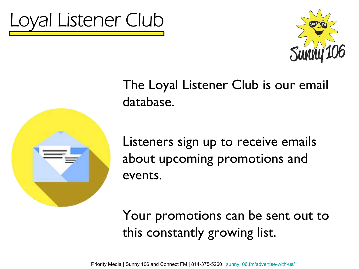





The Loyal Listener Club is our email database.

Listeners sign up to receive emails about upcoming promotions and events.

Your promotions can be sent out to this constantly growing list.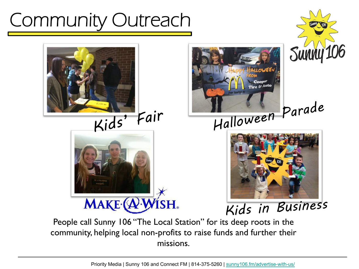#### Community Outreach





# MAKE (A'WISH.





Kids in Business

People call Sunny 106 "The Local Station" for its deep roots in the community, helping local non-profits to raise funds and further their missions.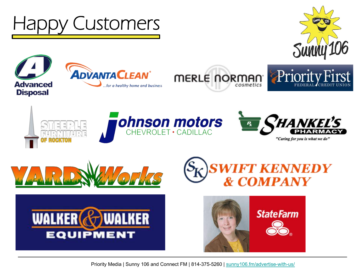

Priority Media | Sunny 106 and Connect FM | 814-375-5260 | [sunny106.fm/advertise-with-us/](https://www.sunny106.fm/advertise-with-us/)